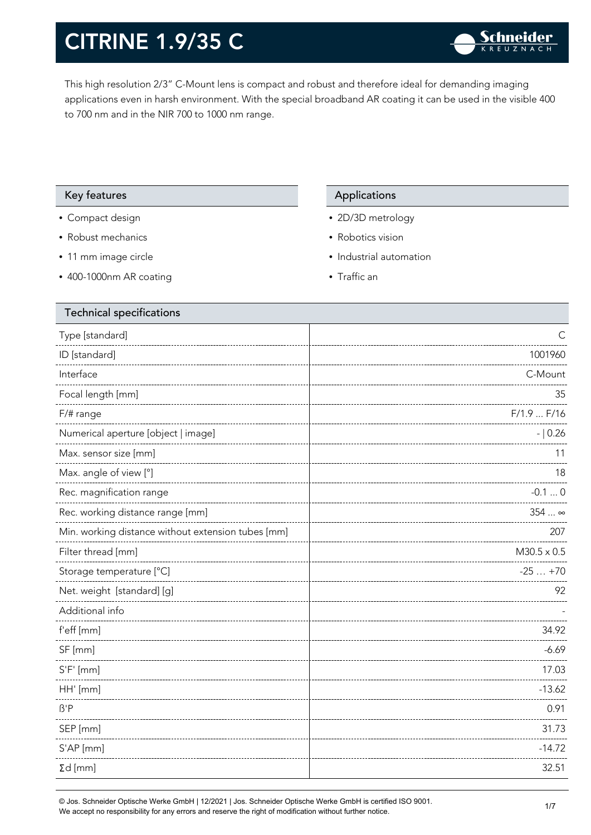This high resolution 2/3" C-Mount lens is compact and robust and therefore ideal for demanding imaging applications even in harsh environment. With the special broadband AR coating it can be used in the visible 400 to 700 nm and in the NIR 700 to 1000 nm range.

#### Key features **Applications** Applications

- Compact design
- Robust mechanics
- 11 mm image circle
- 400-1000nm AR coating

- 2D/3D metrology
- Robotics vision
- Industrial automation
- Traffic an

| <b>Technical specifications</b>                    |                       |
|----------------------------------------------------|-----------------------|
| Type [standard]                                    | С                     |
| ID [standard]                                      | 1001960               |
| Interface                                          | C-Mount               |
| Focal length [mm]                                  | 35                    |
| $F/\#$ range                                       | F/1.9 F/16            |
| Numerical aperture [object   image]                | $- 0.26$              |
| Max. sensor size [mm]                              | 11                    |
| Max. angle of view [°]                             | 18                    |
| Rec. magnification range                           | $-0.10$               |
| Rec. working distance range [mm]                   | 354 $\ldots$ $\infty$ |
| Min. working distance without extension tubes [mm] | 207                   |
| Filter thread [mm]                                 | $M30.5 \times 0.5$    |
| Storage temperature [°C]                           | $-25+70$              |
| Net. weight [standard] [g]                         | 92                    |
| Additional info                                    |                       |
| f'eff [mm]                                         | 34.92                 |
| SF [mm]                                            | $-6.69$               |
| $S'F'$ [mm]                                        | 17.03                 |
| HH' [mm]                                           | $-13.62$              |
| $\beta$ 'P                                         | 0.91                  |
| SEP [mm]                                           | 31.73                 |
| S'AP [mm]                                          | $-14.72$              |
| $\Sigma d$ [mm]                                    | 32.51                 |
|                                                    |                       |

© Jos. Schneider Optische Werke GmbH | 12/2021 | Jos. Schneider Optische Werke GmbH is certified ISO 9001. We accept no responsibility for any errors and reserve the right of modification without further notice.<br>We accept no responsibility for any errors and reserve the right of modification without further notice.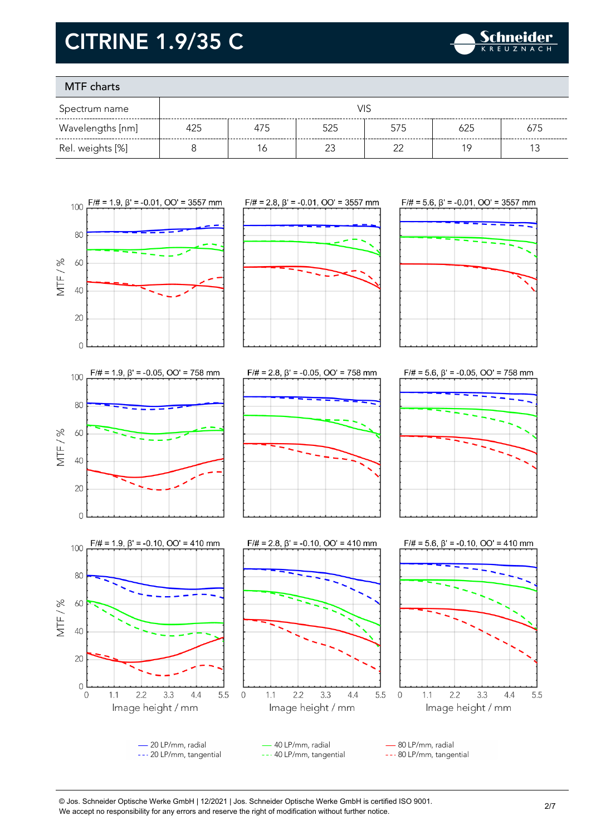

### MTF charts

| Spectrum name    |     |     |        |     |     |     |
|------------------|-----|-----|--------|-----|-----|-----|
| Wavelengths [nm] | 425 | 475 | 525    | 575 | 625 | 675 |
| Rel. weights [%] |     |     | $\sim$ | ົ   | 1 C |     |



--- 20 LP/mm, tangential --- 40 LP/mm, tangential --- 80 LP/mm, tangential

© Jos. Schneider Optische Werke GmbH | 12/2021 | Jos. Schneider Optische Werke GmbH is certified ISO 9001. We accept no responsibility for any errors and reserve the right of modification without further notice.<br>We accept no responsibility for any errors and reserve the right of modification without further notice.

3.3

 $4.4$ 

5.5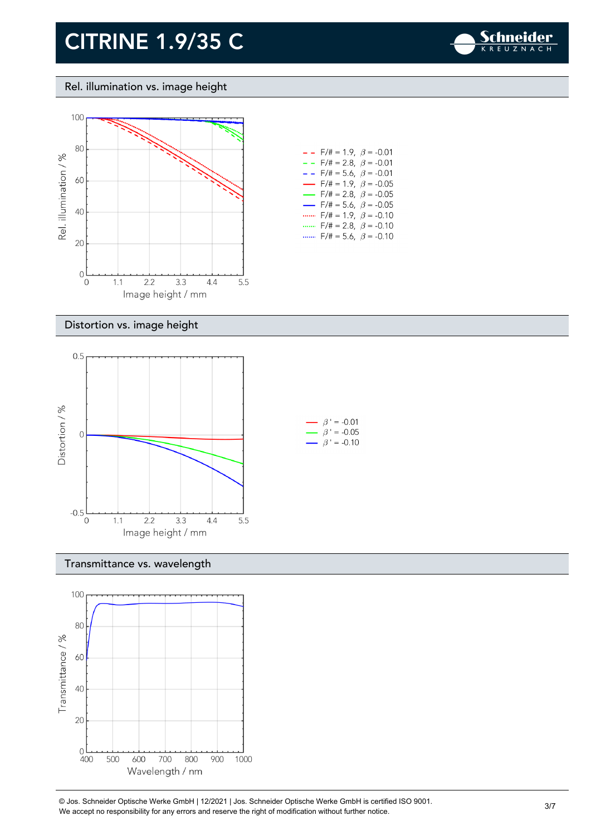

#### Rel. illumination vs. image height



| - -                      | $F/\# = 1.9, \ \ \beta = -0.01$         |  |
|--------------------------|-----------------------------------------|--|
| - -                      | F/# = 2.8, $\beta$ = -0.01              |  |
| $ -$                     | F/# = 5.6, $\beta$ = -0.01              |  |
| $\overline{\phantom{0}}$ | $F/\ddot{\pi} = 1.9, \ \beta = -0.05$   |  |
| —                        | $F/\ddot{\pi} = 2.8, \ \ \beta = -0.05$ |  |
| $\overline{\phantom{0}}$ | $F/\ddot{\pi} = 5.6, \ \beta = -0.05$   |  |
|                          | $F/\# = 1.9, \ \beta = -0.10$           |  |
|                          | $F/\ddot{\pi} = 2.8, \ \beta = -0.10$   |  |
|                          | $F/\ddot{=} = 5.6, \ \beta = -0.10$     |  |

#### Distortion vs. image height



#### Transmittance vs. wavelength



© Jos. Schneider Optische Werke GmbH | 12/2021 | Jos. Schneider Optische Werke GmbH is certified ISO 9001. We accept no responsibility for any errors and reserve the right of modification without further notice.<br>We accept no responsibility for any errors and reserve the right of modification without further notice.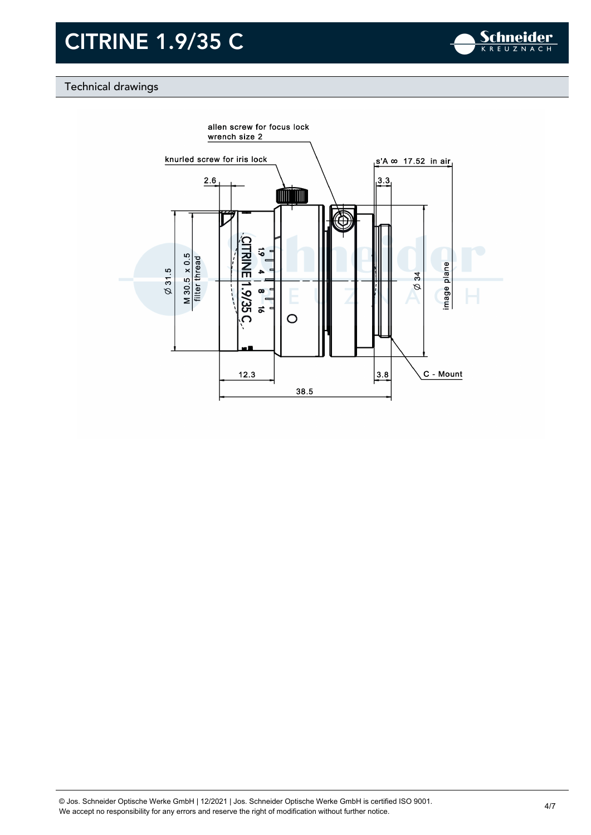

### Technical drawings

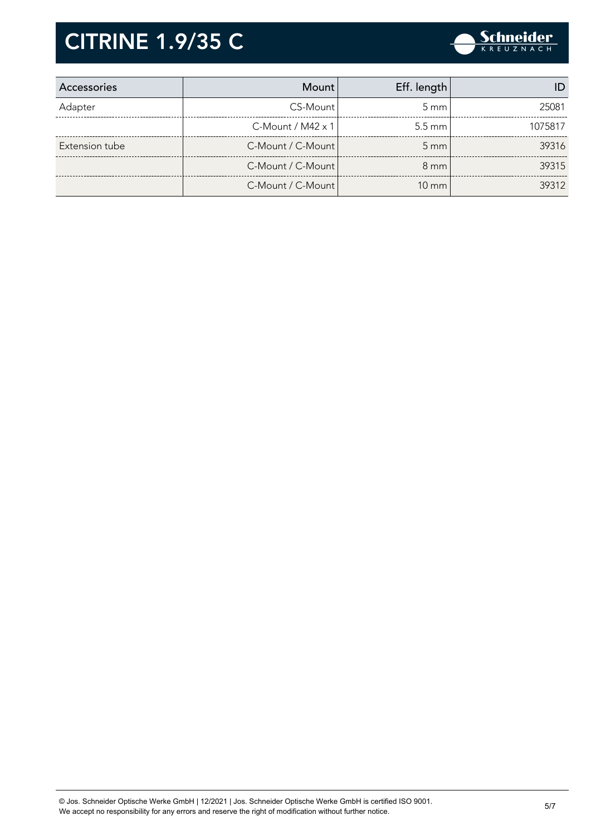

| Accessories    | Mount                       | Eff. length        |         |
|----------------|-----------------------------|--------------------|---------|
| Adapter        | CS-Mount                    | $5 \text{ mm}$     | 25081   |
|                | $C$ -Mount / M42 $\times$ 1 | $5.5 \text{ mm}$   | 1075817 |
| Extension tube | C-Mount / C-Mount           | $5 \, \mathrm{mm}$ | 39316   |
|                | C-Mount / C-Mount           | $8 \text{ mm}$     | 39315   |
|                | C-Mount / C-Mount           | $10 \text{ mm}$    | 39312   |